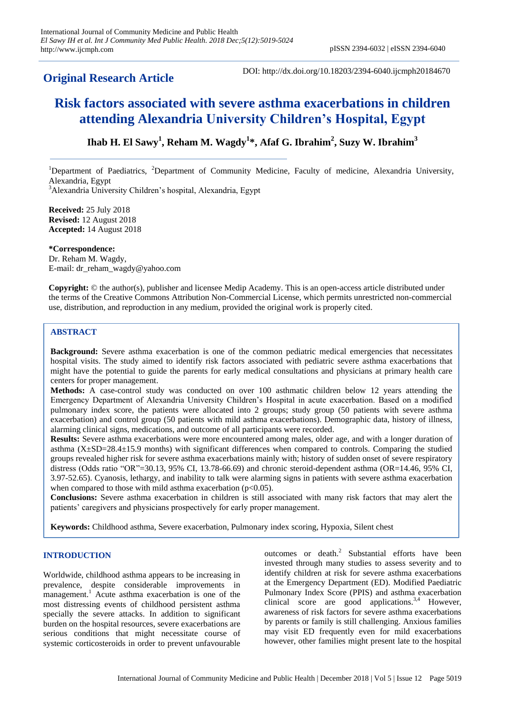# **Original Research Article**

DOI: http://dx.doi.org/10.18203/2394-6040.ijcmph20184670

# **Risk factors associated with severe asthma exacerbations in children attending Alexandria University Children's Hospital, Egypt**

# **Ihab H. El Sawy<sup>1</sup> , Reham M. Wagdy<sup>1</sup> \*, Afaf G. Ibrahim<sup>2</sup> , Suzy W. Ibrahim<sup>3</sup>**

<sup>1</sup>Department of Paediatrics, <sup>2</sup>Department of Community Medicine, Faculty of medicine, Alexandria University, Alexandria, Egypt <sup>3</sup>Alexandria University Children's hospital, Alexandria, Egypt

**Received:** 25 July 2018 **Revised:** 12 August 2018 **Accepted:** 14 August 2018

**\*Correspondence:** Dr. Reham M. Wagdy, E-mail: dr\_reham\_wagdy@yahoo.com

**Copyright:** © the author(s), publisher and licensee Medip Academy. This is an open-access article distributed under the terms of the Creative Commons Attribution Non-Commercial License, which permits unrestricted non-commercial use, distribution, and reproduction in any medium, provided the original work is properly cited.

# **ABSTRACT**

**Background:** Severe asthma exacerbation is one of the common pediatric medical emergencies that necessitates hospital visits. The study aimed to identify risk factors associated with pediatric severe asthma exacerbations that might have the potential to guide the parents for early medical consultations and physicians at primary health care centers for proper management.

**Methods:** A case-control study was conducted on over 100 asthmatic children below 12 years attending the Emergency Department of Alexandria University Children's Hospital in acute exacerbation. Based on a modified pulmonary index score, the patients were allocated into 2 groups; study group (50 patients with severe asthma exacerbation) and control group (50 patients with mild asthma exacerbations). Demographic data, history of illness, alarming clinical signs, medications, and outcome of all participants were recorded.

**Results:** Severe asthma exacerbations were more encountered among males, older age, and with a longer duration of asthma (X±SD=28.4±15.9 months) with significant differences when compared to controls. Comparing the studied groups revealed higher risk for severe asthma exacerbations mainly with; history of sudden onset of severe respiratory distress (Odds ratio "OR"=30.13, 95% CI, 13.78-66.69) and chronic steroid-dependent asthma (OR=14.46, 95% CI, 3.97-52.65). Cyanosis, lethargy, and inability to talk were alarming signs in patients with severe asthma exacerbation when compared to those with mild asthma exacerbation  $(p<0.05)$ .

**Conclusions:** Severe asthma exacerbation in children is still associated with many risk factors that may alert the patients' caregivers and physicians prospectively for early proper management.

**Keywords:** Childhood asthma, Severe exacerbation, Pulmonary index scoring, Hypoxia, Silent chest

# **INTRODUCTION**

Worldwide, childhood asthma appears to be increasing in prevalence, despite considerable improvements in management.<sup>1</sup> Acute asthma exacerbation is one of the most distressing events of childhood persistent asthma specially the severe attacks. In addition to significant burden on the hospital resources, severe exacerbations are serious conditions that might necessitate course of systemic corticosteroids in order to prevent unfavourable

outcomes or death.<sup>2</sup> Substantial efforts have been invested through many studies to assess severity and to identify children at risk for severe asthma exacerbations at the Emergency Department (ED). Modified Paediatric Pulmonary Index Score (PPIS) and asthma exacerbation clinical score are good applications.<sup>3,4</sup> However, awareness of risk factors for severe asthma exacerbations by parents or family is still challenging. Anxious families may visit ED frequently even for mild exacerbations however, other families might present late to the hospital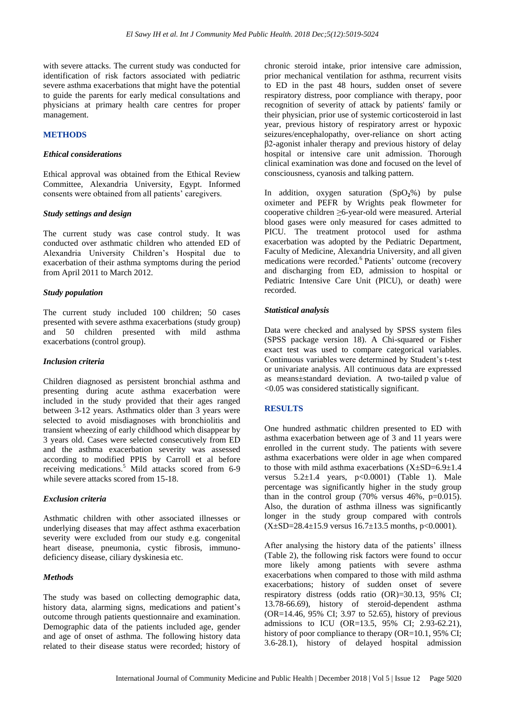with severe attacks. The current study was conducted for identification of risk factors associated with pediatric severe asthma exacerbations that might have the potential to guide the parents for early medical consultations and physicians at primary health care centres for proper management.

#### **METHODS**

## *Ethical considerations*

Ethical approval was obtained from the Ethical Review Committee, Alexandria University, Egypt. Informed consents were obtained from all patients' caregivers.

#### *Study settings and design*

The current study was case control study. It was conducted over asthmatic children who attended ED of Alexandria University Children's Hospital due to exacerbation of their asthma symptoms during the period from April 2011 to March 2012.

# *Study population*

The current study included 100 children; 50 cases presented with severe asthma exacerbations (study group) and 50 children presented with mild asthma exacerbations (control group).

#### *Inclusion criteria*

Children diagnosed as persistent bronchial asthma and presenting during acute asthma exacerbation were included in the study provided that their ages ranged between 3-12 years. Asthmatics older than 3 years were selected to avoid misdiagnoses with bronchiolitis and transient wheezing of early childhood which disappear by 3 years old. Cases were selected consecutively from ED and the asthma exacerbation severity was assessed according to modified PPIS by Carroll et al before receiving medications.<sup>5</sup> Mild attacks scored from 6-9 while severe attacks scored from 15-18.

#### *Exclusion criteria*

Asthmatic children with other associated illnesses or underlying diseases that may affect asthma exacerbation severity were excluded from our study e.g. congenital heart disease, pneumonia, cystic fibrosis, immunodeficiency disease, ciliary dyskinesia etc.

#### *Methods*

The study was based on collecting demographic data, history data, alarming signs, medications and patient's outcome through patients questionnaire and examination. Demographic data of the patients included age, gender and age of onset of asthma. The following history data related to their disease status were recorded; history of chronic steroid intake, prior intensive care admission, prior mechanical ventilation for asthma, recurrent visits to ED in the past 48 hours, sudden onset of severe respiratory distress, poor compliance with therapy, poor recognition of severity of attack by patients' family or their physician, prior use of systemic corticosteroid in last year, previous history of respiratory arrest or hypoxic seizures/encephalopathy, over-reliance on short acting β2-agonist inhaler therapy and previous history of delay hospital or intensive care unit admission. Thorough clinical examination was done and focused on the level of consciousness, cyanosis and talking pattern.

In addition, oxygen saturation (SpO**2**%) by pulse oximeter and PEFR by Wrights peak flowmeter for cooperative children ≥6-year-old were measured. Arterial blood gases were only measured for cases admitted to PICU. The treatment protocol used for asthma exacerbation was adopted by the Pediatric Department, Faculty of Medicine, Alexandria University, and all given medications were recorded.<sup>6</sup> Patients' outcome (recovery and discharging from ED, admission to hospital or Pediatric Intensive Care Unit (PICU), or death) were recorded.

#### *Statistical analysis*

Data were checked and analysed by SPSS system files (SPSS package version 18). A Chi-squared or Fisher exact test was used to compare categorical variables. Continuous variables were determined by Student's t-test or univariate analysis. All continuous data are expressed as means±standard deviation. A two-tailed p value of <0.05 was considered statistically significant.

#### **RESULTS**

One hundred asthmatic children presented to ED with asthma exacerbation between age of 3 and 11 years were enrolled in the current study. The patients with severe asthma exacerbations were older in age when compared to those with mild asthma exacerbations  $(X \pm SD = 6.9 \pm 1.4$ versus  $5.2\pm1.4$  years,  $p<0.0001$  (Table 1). Male percentage was significantly higher in the study group than in the control group  $(70\% \text{ versus } 46\%, \text{ p=0.015}).$ Also, the duration of asthma illness was significantly longer in the study group compared with controls  $(X\pm SD=28.4\pm 15.9$  versus  $16.7\pm 13.5$  months, p<0.0001).

After analysing the history data of the patients' illness (Table 2), the following risk factors were found to occur more likely among patients with severe asthma exacerbations when compared to those with mild asthma exacerbations; history of sudden onset of severe respiratory distress (odds ratio (OR)=30.13, 95% CI; 13.78-66.69), history of steroid-dependent asthma (OR=14.46, 95% CI; 3.97 to 52.65), history of previous admissions to ICU (OR=13.5, 95% CI; 2.93-62.21), history of poor compliance to therapy (OR=10.1, 95% CI; 3.6-28.1), history of delayed hospital admission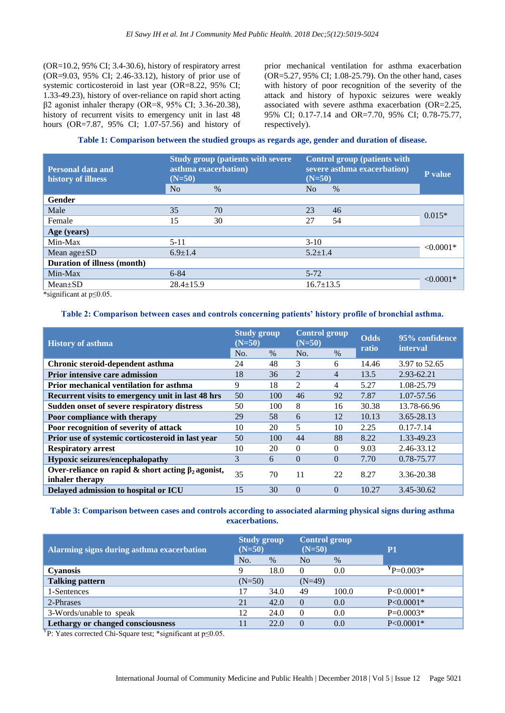(OR=10.2, 95% CI; 3.4-30.6), history of respiratory arrest (OR=9.03, 95% CI; 2.46-33.12), history of prior use of systemic corticosteroid in last year (OR=8.22, 95% CI; 1.33-49.23), history of over-reliance on rapid short acting β2 agonist inhaler therapy (OR=8, 95% CI; 3.36-20.38), history of recurrent visits to emergency unit in last 48 hours (OR=7.87, 95% CI; 1.07-57.56) and history of prior mechanical ventilation for asthma exacerbation (OR=5.27, 95% CI; 1.08-25.79). On the other hand, cases with history of poor recognition of the severity of the attack and history of hypoxic seizures were weakly associated with severe asthma exacerbation (OR=2.25, 95% CI; 0.17-7.14 and OR=7.70, 95% CI; 0.78-75.77, respectively).

**Table 1: Comparison between the studied groups as regards age, gender and duration of disease.**

| <b>Study group (patients with severe)</b><br>asthma exacerbation)<br>$(N=50)$ |      |          | P value |                                                                                                                  |  |
|-------------------------------------------------------------------------------|------|----------|---------|------------------------------------------------------------------------------------------------------------------|--|
| N <sub>o</sub>                                                                | $\%$ | No.      | $\%$    |                                                                                                                  |  |
|                                                                               |      |          |         |                                                                                                                  |  |
| 35                                                                            | 70   | 23       | 46      |                                                                                                                  |  |
| 15                                                                            | 30   | 27       | 54      | $0.015*$                                                                                                         |  |
|                                                                               |      |          |         |                                                                                                                  |  |
| $5 - 11$                                                                      |      | $3-10$   |         | $< 0.0001*$                                                                                                      |  |
| $6.9 \pm 1.4$                                                                 |      |          |         |                                                                                                                  |  |
|                                                                               |      |          |         |                                                                                                                  |  |
| $6 - 84$                                                                      |      | $5 - 72$ |         | $< 0.0001*$                                                                                                      |  |
| $28.4 \pm 15.9$                                                               |      |          |         |                                                                                                                  |  |
|                                                                               |      |          |         | <b>Control group (patients with</b><br>severe asthma exacerbation)<br>$(N=50)$<br>$5.2 + 1.4$<br>$16.7 \pm 13.5$ |  |

\*significant at p≤0.05.

# **Table 2: Comparison between cases and controls concerning patients' history profile of bronchial asthma.**

| <b>History of asthma</b>                                                    | <b>Study group</b><br>$(N=50)$ |      | <b>Control group</b><br>$(N=50)$ |          | <b>Odds</b><br>ratio | 95% confidence<br>interval |
|-----------------------------------------------------------------------------|--------------------------------|------|----------------------------------|----------|----------------------|----------------------------|
|                                                                             | No.                            | $\%$ | No.                              | $\%$     |                      |                            |
| Chronic steroid-dependent asthma                                            | 24                             | 48   | 3                                | 6        | 14.46                | 3.97 to 52.65              |
| <b>Prior intensive care admission</b>                                       | 18                             | 36   | $\mathfrak{D}$                   | 4        | 13.5                 | 2.93-62.21                 |
| <b>Prior mechanical ventilation for asthma</b>                              | 9                              | 18   | $\mathfrak{D}$                   | 4        | 5.27                 | 1.08-25.79                 |
| Recurrent visits to emergency unit in last 48 hrs                           | 50                             | 100  | 46                               | 92       | 7.87                 | 1.07-57.56                 |
| Sudden onset of severe respiratory distress                                 | 50                             | 100  | 8                                | 16       | 30.38                | 13.78-66.96                |
| Poor compliance with therapy                                                | 29                             | 58   | 6                                | 12       | 10.13                | 3.65-28.13                 |
| Poor recognition of severity of attack                                      | 10                             | 20   | 5                                | 10       | 2.25                 | $0.17 - 7.14$              |
| Prior use of systemic corticosteroid in last year                           | 50                             | 100  | 44                               | 88       | 8.22                 | 1.33-49.23                 |
| <b>Respiratory arrest</b>                                                   | 10                             | 20   | $\Omega$                         | $\Omega$ | 9.03                 | 2.46-33.12                 |
| Hypoxic seizures/encephalopathy                                             | 3                              | 6    | $\Omega$                         | $\Omega$ | 7.70                 | 0.78-75.77                 |
| Over-reliance on rapid & short acting $\beta_2$ agonist,<br>inhaler therapy | 35                             | 70   | 11                               | 22       | 8.27                 | 3.36-20.38                 |
| Delayed admission to hospital or ICU                                        | 15                             | 30   | $\Omega$                         | $\Omega$ | 10.27                | 3.45-30.62                 |

# **Table 3: Comparison between cases and controls according to associated alarming physical signs during asthma exacerbations.**

| Alarming signs during asthma exacerbation | <b>Study group</b><br>$(N=50)$ |      | Control group<br>$(N=50)$ |       | P <sub>1</sub> |
|-------------------------------------------|--------------------------------|------|---------------------------|-------|----------------|
|                                           | No.                            | $\%$ | N <sub>0</sub>            | $\%$  |                |
| <b>Cyanosis</b>                           |                                | 18.0 | $\Omega$                  | 0.0   | $P = 0.003*$   |
| <b>Talking pattern</b>                    | $(N=50)$                       |      | $(N=49)$                  |       |                |
| 1-Sentences                               | 17                             | 34.0 | 49                        | 100.0 | $P<0.0001*$    |
| 2-Phrases                                 | 21                             | 42.0 | $\Omega$                  | 0.0   | $P < 0.0001*$  |
| 3-Words/unable to speak                   | 12                             | 24.0 | $\Omega$                  | 0.0   | $P=0.0003*$    |
| Lethargy or changed consciousness         |                                | 22.0 | $\theta$                  | 0.0   | $P < 0.0001*$  |

<sup>Y</sup>P: Yates corrected Chi-Square test; \*significant at  $p \le 0.05$ .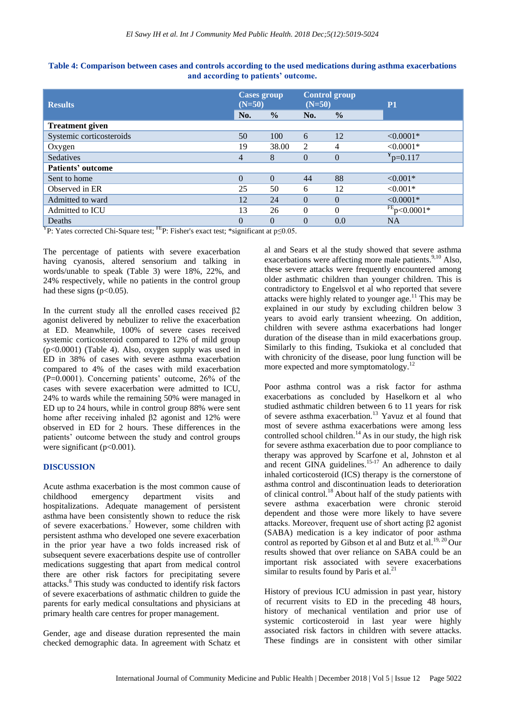| <b>Results</b>           | <b>Cases group</b><br>$(N=50)$ |               | <b>Control group</b><br>$(N=50)$ |               | P <sub>1</sub>   |
|--------------------------|--------------------------------|---------------|----------------------------------|---------------|------------------|
|                          | No.                            | $\frac{0}{0}$ | No.                              | $\frac{0}{0}$ |                  |
| <b>Treatment given</b>   |                                |               |                                  |               |                  |
| Systemic corticosteroids | 50                             | 100           | 6                                | 12            | $< 0.0001*$      |
| Oxygen                   | 19                             | 38.00         | 2                                | 4             | $< 0.0001*$      |
| <b>Sedatives</b>         | 4                              | 8             | $\theta$                         | $\theta$      | $Y_{p=0.117}$    |
| Patients' outcome        |                                |               |                                  |               |                  |
| Sent to home             | 0                              | $\Omega$      | 44                               | 88            | $< 0.001*$       |
| Observed in ER           | 25                             | 50            | 6                                | 12            | $< 0.001*$       |
| Admitted to ward         | 12                             | 24            | $\theta$                         | $\Omega$      | $< 0.0001*$      |
| Admitted to ICU          | 13                             | 26            | $\Omega$                         | $\Omega$      | $FE_{p<0.0001*}$ |
| Deaths                   | 0                              | $\theta$      | $\theta$                         | 0.0           | <b>NA</b>        |

| Table 4: Comparison between cases and controls according to the used medications during asthma exacerbations |
|--------------------------------------------------------------------------------------------------------------|
| and according to patients' outcome.                                                                          |

<sup>Y</sup>P: Yates corrected Chi-Square test; <sup>FE</sup>P: Fisher's exact test; \*significant at  $p \le 0.05$ .

The percentage of patients with severe exacerbation having cyanosis, altered sensorium and talking in words/unable to speak (Table 3) were 18%, 22%, and 24% respectively, while no patients in the control group had these signs  $(p<0.05)$ .

In the current study all the enrolled cases received β2 agonist delivered by nebulizer to relive the exacerbation at ED. Meanwhile, 100% of severe cases received systemic corticosteroid compared to 12% of mild group  $(p<0.0001)$  (Table 4). Also, oxygen supply was used in ED in 38% of cases with severe asthma exacerbation compared to 4% of the cases with mild exacerbation (P=0.0001). Concerning patients' outcome, 26% of the cases with severe exacerbation were admitted to ICU, 24% to wards while the remaining 50% were managed in ED up to 24 hours, while in control group 88% were sent home after receiving inhaled β2 agonist and 12% were observed in ED for 2 hours. These differences in the patients' outcome between the study and control groups were significant  $(p<0.001)$ .

# **DISCUSSION**

Acute asthma exacerbation is the most common cause of childhood emergency department visits and hospitalizations. Adequate management of persistent asthma have been consistently shown to reduce the risk of severe exacerbations.<sup>7</sup> However, some children with persistent asthma who developed one severe exacerbation in the prior year have a two folds increased risk of subsequent severe exacerbations despite use of controller medications suggesting that apart from medical control there are other risk factors for precipitating severe attacks.<sup>8</sup> This study was conducted to identify risk factors of severe exacerbations of asthmatic children to guide the parents for early medical consultations and physicians at primary health care centres for proper management.

Gender, age and disease duration represented the main checked demographic data. In agreement with Schatz et al and Sears et al the study showed that severe asthma exacerbations were affecting more male patients. $9,10$  Also, these severe attacks were frequently encountered among older asthmatic children than younger children. This is contradictory to Engelsvol et al who reported that severe attacks were highly related to younger age.<sup>11</sup> This may be explained in our study by excluding children below 3 years to avoid early transient wheezing. On addition, children with severe asthma exacerbations had longer duration of the disease than in mild exacerbations group. Similarly to this finding, Tsukioka et al concluded that with chronicity of the disease, poor lung function will be more expected and more symptomatology.<sup>12</sup>

Poor asthma control was a risk factor for asthma exacerbations as concluded by Haselkorn et al who studied asthmatic children between 6 to 11 years for risk of severe asthma exacerbation.<sup>13</sup> Yavuz et al found that most of severe asthma exacerbations were among less controlled school children.<sup>14</sup> As in our study, the high risk for severe asthma exacerbation due to poor compliance to therapy was approved by Scarfone et al, Johnston et al and recent GINA guidelines.<sup>15-17</sup> An adherence to daily inhaled corticosteroid (ICS) therapy is the cornerstone of asthma control and discontinuation leads to deterioration of clinical control.<sup>18</sup>About half of the study patients with severe asthma exacerbation were chronic steroid dependent and those were more likely to have severe attacks. Moreover, frequent use of short acting β2 agonist (SABA) medication is a key indicator of poor asthma control as reported by Gibson et al and Butz et al.<sup>19, 20</sup> Our results showed that over reliance on SABA could be an important risk associated with severe exacerbations similar to results found by Paris et al.<sup>21</sup>

History of previous ICU admission in past year, history of recurrent visits to ED in the preceding 48 hours, history of mechanical ventilation and prior use of systemic corticosteroid in last year were highly associated risk factors in children with severe attacks. These findings are in consistent with other similar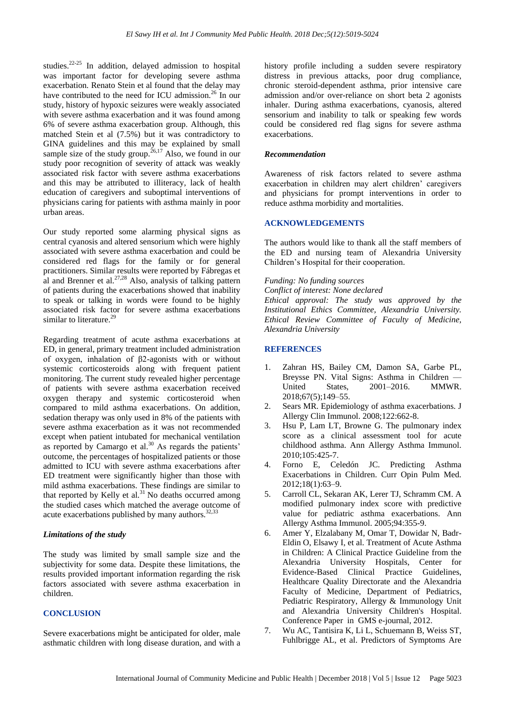studies.22-25 In addition, delayed admission to hospital was important factor for developing severe asthma exacerbation. Renato Stein et al found that the delay may have contributed to the need for ICU admission.<sup>26</sup> In our study, history of hypoxic seizures were weakly associated with severe asthma exacerbation and it was found among 6% of severe asthma exacerbation group. Although, this matched Stein et al (7.5%) but it was contradictory to GINA guidelines and this may be explained by small sample size of the study group.<sup>26,17</sup> Also, we found in our study poor recognition of severity of attack was weakly associated risk factor with severe asthma exacerbations and this may be attributed to illiteracy, lack of health education of caregivers and suboptimal interventions of physicians caring for patients with asthma mainly in poor urban areas.

Our study reported some alarming physical signs as central cyanosis and altered sensorium which were highly associated with severe asthma exacerbation and could be considered red flags for the family or for general practitioners. Similar results were reported by Fábregas et al and Brenner et al. $^{27,28}$  Also, analysis of talking pattern of patients during the exacerbations showed that inability to speak or talking in words were found to be highly associated risk factor for severe asthma exacerbations similar to literature.<sup>29</sup>

Regarding treatment of acute asthma exacerbations at ED, in general, primary treatment included administration of oxygen, inhalation of β2-agonists with or without systemic corticosteroids along with frequent patient monitoring. The current study revealed higher percentage of patients with severe asthma exacerbation received oxygen therapy and systemic corticosteroid when compared to mild asthma exacerbations. On addition, sedation therapy was only used in 8% of the patients with severe asthma exacerbation as it was not recommended except when patient intubated for mechanical ventilation as reported by Camargo et al.<sup>30</sup> As regards the patients' outcome, the percentages of hospitalized patients or those admitted to ICU with severe asthma exacerbations after ED treatment were significantly higher than those with mild asthma exacerbations. These findings are similar to that reported by Kelly et al. $31$  No deaths occurred among the studied cases which matched the average outcome of acute exacerbations published by many authors. $32,33$ 

# *Limitations of the study*

The study was limited by small sample size and the subjectivity for some data. Despite these limitations, the results provided important information regarding the risk factors associated with severe asthma exacerbation in children.

#### **CONCLUSION**

Severe exacerbations might be anticipated for older, male asthmatic children with long disease duration, and with a history profile including a sudden severe respiratory distress in previous attacks, poor drug compliance, chronic steroid-dependent asthma, prior intensive care admission and/or over-reliance on short beta 2 agonists inhaler. During asthma exacerbations, cyanosis, altered sensorium and inability to talk or speaking few words could be considered red flag signs for severe asthma exacerbations.

#### *Recommendation*

Awareness of risk factors related to severe asthma exacerbation in children may alert children' caregivers and physicians for prompt interventions in order to reduce asthma morbidity and mortalities.

#### **ACKNOWLEDGEMENTS**

The authors would like to thank all the staff members of the ED and nursing team of Alexandria University Children's Hospital for their cooperation.

#### *Funding: No funding sources*

*Conflict of interest: None declared Ethical approval: The study was approved by the Institutional Ethics Committee, Alexandria University. Ethical Review Committee of Faculty of Medicine, Alexandria University*

# **REFERENCES**

- 1. Zahran HS, Bailey CM, Damon SA, Garbe PL, Breysse PN. Vital Signs: Asthma in Children — United States, 2001–2016. MMWR. 2018;67(5);149–55.
- 2. Sears MR. Epidemiology of asthma exacerbations. J Allergy Clin Immunol. 2008;122:662-8.
- 3. Hsu P, Lam LT, Browne G. The pulmonary index score as a clinical assessment tool for acute childhood asthma. Ann Allergy Asthma Immunol. 2010;105:425-7.
- 4. Forno E, Celedón JC. Predicting Asthma Exacerbations in Children. Curr Opin Pulm Med. 2012;18(1):63–9.
- 5. Carroll CL, Sekaran AK, Lerer TJ, Schramm CM. A modified pulmonary index score with predictive value for pediatric asthma exacerbations. Ann Allergy Asthma Immunol. 2005;94:355-9.
- 6. Amer Y, Elzalabany M, Omar T, Dowidar N, Badr-Eldin O, Elsawy I, et al. Treatment of Acute Asthma in Children: A Clinical Practice Guideline from the Alexandria University Hospitals, Center for Evidence-Based Clinical Practice Guidelines, Healthcare Quality Directorate and the Alexandria Faculty of Medicine, Department of Pediatrics, Pediatric Respiratory, Allergy & Immunology Unit and Alexandria University Children's Hospital. Conference Paper in GMS e-journal, 2012.
- 7. Wu AC, Tantisira K, Li L, Schuemann B, Weiss ST, Fuhlbrigge AL, et al. Predictors of Symptoms Are